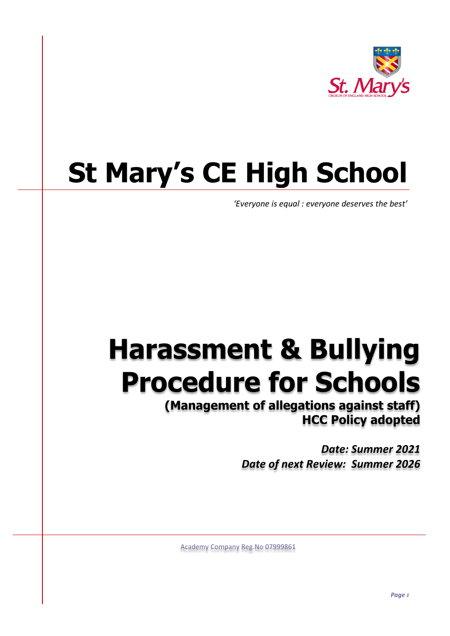

# **St Mary's CE High School**

*'Everyone is equal : everyone deserves the best'*

## **Harassment & Bullying Procedure for Schools**

**(Management of allegations against staff) HCC Policy adopted**

> *Date: Summer 2021 Date of next Review: Summer 2026*

Academy Company Reg.No 07999861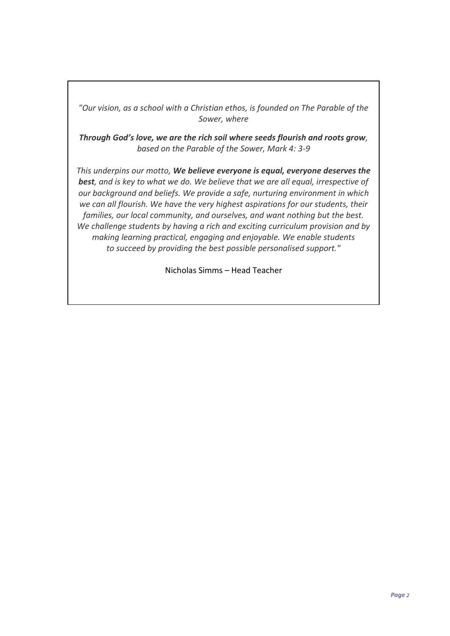*"Our vision, as a school with a Christian ethos, is founded on The Parable of the Sower, where*

*Through God's love, we are the rich soil where seeds flourish and roots grow, based on the Parable of the Sower, Mark 4: 3-9*

*This underpins our motto, We believe everyone is equal, everyone deserves the best, and is key to what we do. We believe that we are all equal, irrespective of our background and beliefs. We provide a safe, nurturing environment in which we can all flourish. We have the very highest aspirations for our students, their families, our local community, and ourselves, and want nothing but the best. We challenge students by having a rich and exciting curriculum provision and by making learning practical, engaging and enjoyable. We enable students to succeed by providing the best possible personalised support."*

Nicholas Simms – Head Teacher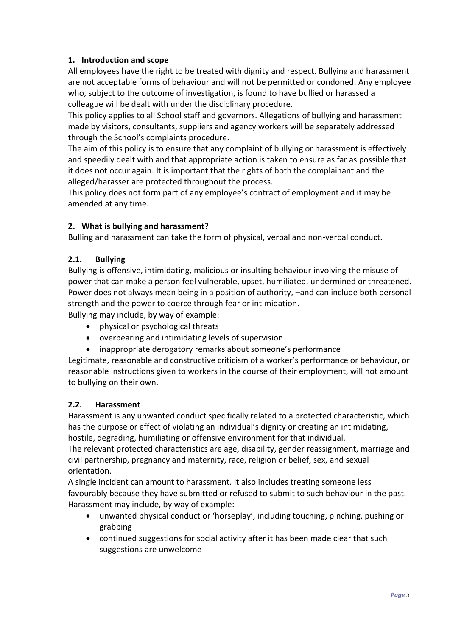## **1. Introduction and scope**

All employees have the right to be treated with dignity and respect. Bullying and harassment are not acceptable forms of behaviour and will not be permitted or condoned. Any employee who, subject to the outcome of investigation, is found to have bullied or harassed a colleague will be dealt with under the disciplinary procedure.

This policy applies to all School staff and governors. Allegations of bullying and harassment made by visitors, consultants, suppliers and agency workers will be separately addressed through the School's complaints procedure.

The aim of this policy is to ensure that any complaint of bullying or harassment is effectively and speedily dealt with and that appropriate action is taken to ensure as far as possible that it does not occur again. It is important that the rights of both the complainant and the alleged/harasser are protected throughout the process.

This policy does not form part of any employee's contract of employment and it may be amended at any time.

## **2. What is bullying and harassment?**

Bulling and harassment can take the form of physical, verbal and non-verbal conduct.

#### **2.1. Bullying**

Bullying is offensive, intimidating, malicious or insulting behaviour involving the misuse of power that can make a person feel vulnerable, upset, humiliated, undermined or threatened. Power does not always mean being in a position of authority, –and can include both personal strength and the power to coerce through fear or intimidation.

Bullying may include, by way of example:

- physical or psychological threats
- overbearing and intimidating levels of supervision
- inappropriate derogatory remarks about someone's performance

Legitimate, reasonable and constructive criticism of a worker's performance or behaviour, or reasonable instructions given to workers in the course of their employment, will not amount to bullying on their own.

#### **2.2. Harassment**

Harassment is any unwanted conduct specifically related to a protected characteristic, which has the purpose or effect of violating an individual's dignity or creating an intimidating, hostile, degrading, humiliating or offensive environment for that individual.

The relevant protected characteristics are age, disability, gender reassignment, marriage and civil partnership, pregnancy and maternity, race, religion or belief, sex, and sexual orientation.

A single incident can amount to harassment. It also includes treating someone less favourably because they have submitted or refused to submit to such behaviour in the past. Harassment may include, by way of example:

- unwanted physical conduct or 'horseplay', including touching, pinching, pushing or grabbing
- continued suggestions for social activity after it has been made clear that such suggestions are unwelcome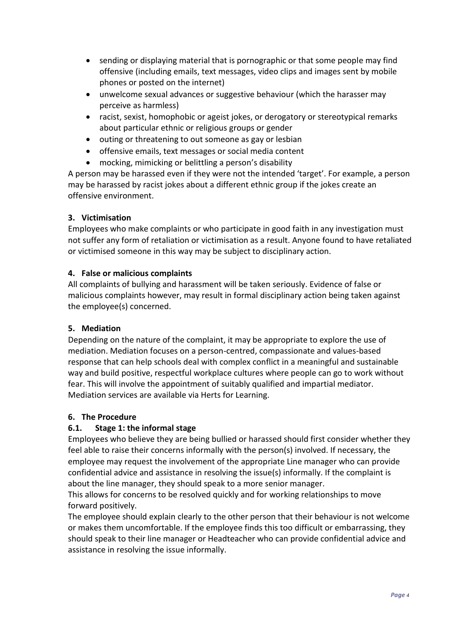- sending or displaying material that is pornographic or that some people may find offensive (including emails, text messages, video clips and images sent by mobile phones or posted on the internet)
- unwelcome sexual advances or suggestive behaviour (which the harasser may perceive as harmless)
- racist, sexist, homophobic or ageist jokes, or derogatory or stereotypical remarks about particular ethnic or religious groups or gender
- outing or threatening to out someone as gay or lesbian
- offensive emails, text messages or social media content
- mocking, mimicking or belittling a person's disability

A person may be harassed even if they were not the intended 'target'. For example, a person may be harassed by racist jokes about a different ethnic group if the jokes create an offensive environment.

#### **3. Victimisation**

Employees who make complaints or who participate in good faith in any investigation must not suffer any form of retaliation or victimisation as a result. Anyone found to have retaliated or victimised someone in this way may be subject to disciplinary action.

#### **4. False or malicious complaints**

All complaints of bullying and harassment will be taken seriously. Evidence of false or malicious complaints however, may result in formal disciplinary action being taken against the employee(s) concerned.

#### **5. Mediation**

Depending on the nature of the complaint, it may be appropriate to explore the use of mediation. Mediation focuses on a person-centred, compassionate and values-based response that can help schools deal with complex conflict in a meaningful and sustainable way and build positive, respectful workplace cultures where people can go to work without fear. This will involve the appointment of suitably qualified and impartial mediator. Mediation services are available via Herts for Learning.

#### **6. The Procedure**

## **6.1. Stage 1: the informal stage**

Employees who believe they are being bullied or harassed should first consider whether they feel able to raise their concerns informally with the person(s) involved. If necessary, the employee may request the involvement of the appropriate Line manager who can provide confidential advice and assistance in resolving the issue(s) informally. If the complaint is about the line manager, they should speak to a more senior manager.

This allows for concerns to be resolved quickly and for working relationships to move forward positively.

The employee should explain clearly to the other person that their behaviour is not welcome or makes them uncomfortable. If the employee finds this too difficult or embarrassing, they should speak to their line manager or Headteacher who can provide confidential advice and assistance in resolving the issue informally.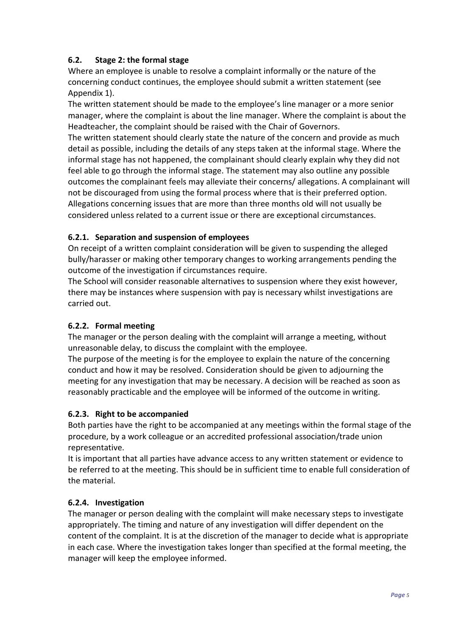## **6.2. Stage 2: the formal stage**

Where an employee is unable to resolve a complaint informally or the nature of the concerning conduct continues, the employee should submit a written statement (see Appendix 1).

The written statement should be made to the employee's line manager or a more senior manager, where the complaint is about the line manager. Where the complaint is about the Headteacher, the complaint should be raised with the Chair of Governors.

The written statement should clearly state the nature of the concern and provide as much detail as possible, including the details of any steps taken at the informal stage. Where the informal stage has not happened, the complainant should clearly explain why they did not feel able to go through the informal stage. The statement may also outline any possible outcomes the complainant feels may alleviate their concerns/ allegations. A complainant will not be discouraged from using the formal process where that is their preferred option. Allegations concerning issues that are more than three months old will not usually be considered unless related to a current issue or there are exceptional circumstances.

#### **6.2.1. Separation and suspension of employees**

On receipt of a written complaint consideration will be given to suspending the alleged bully/harasser or making other temporary changes to working arrangements pending the outcome of the investigation if circumstances require.

The School will consider reasonable alternatives to suspension where they exist however, there may be instances where suspension with pay is necessary whilst investigations are carried out.

#### **6.2.2. Formal meeting**

The manager or the person dealing with the complaint will arrange a meeting, without unreasonable delay, to discuss the complaint with the employee.

The purpose of the meeting is for the employee to explain the nature of the concerning conduct and how it may be resolved. Consideration should be given to adjourning the meeting for any investigation that may be necessary. A decision will be reached as soon as reasonably practicable and the employee will be informed of the outcome in writing.

#### **6.2.3. Right to be accompanied**

Both parties have the right to be accompanied at any meetings within the formal stage of the procedure, by a work colleague or an accredited professional association/trade union representative.

It is important that all parties have advance access to any written statement or evidence to be referred to at the meeting. This should be in sufficient time to enable full consideration of the material.

#### **6.2.4. Investigation**

The manager or person dealing with the complaint will make necessary steps to investigate appropriately. The timing and nature of any investigation will differ dependent on the content of the complaint. It is at the discretion of the manager to decide what is appropriate in each case. Where the investigation takes longer than specified at the formal meeting, the manager will keep the employee informed.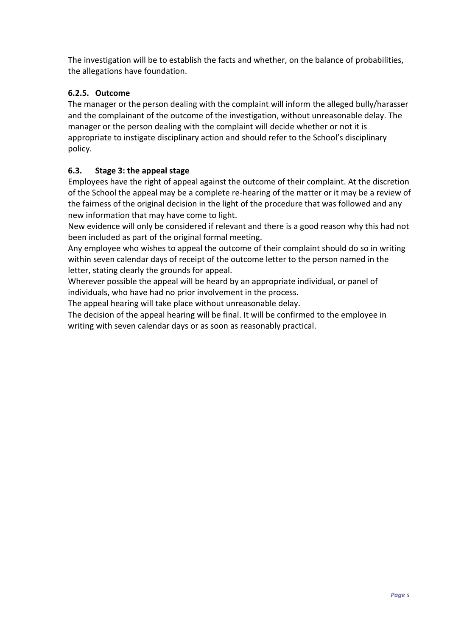The investigation will be to establish the facts and whether, on the balance of probabilities, the allegations have foundation.

## **6.2.5. Outcome**

The manager or the person dealing with the complaint will inform the alleged bully/harasser and the complainant of the outcome of the investigation, without unreasonable delay. The manager or the person dealing with the complaint will decide whether or not it is appropriate to instigate disciplinary action and should refer to the School's disciplinary policy.

## **6.3. Stage 3: the appeal stage**

Employees have the right of appeal against the outcome of their complaint. At the discretion of the School the appeal may be a complete re-hearing of the matter or it may be a review of the fairness of the original decision in the light of the procedure that was followed and any new information that may have come to light.

New evidence will only be considered if relevant and there is a good reason why this had not been included as part of the original formal meeting.

Any employee who wishes to appeal the outcome of their complaint should do so in writing within seven calendar days of receipt of the outcome letter to the person named in the letter, stating clearly the grounds for appeal.

Wherever possible the appeal will be heard by an appropriate individual, or panel of individuals, who have had no prior involvement in the process.

The appeal hearing will take place without unreasonable delay.

The decision of the appeal hearing will be final. It will be confirmed to the employee in writing with seven calendar days or as soon as reasonably practical.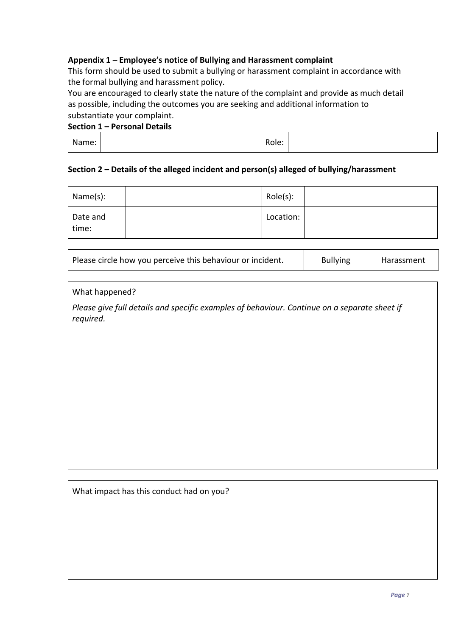### **Appendix 1 – Employee's notice of Bullying and Harassment complaint**

This form should be used to submit a bullying or harassment complaint in accordance with the formal bullying and harassment policy.

You are encouraged to clearly state the nature of the complaint and provide as much detail as possible, including the outcomes you are seeking and additional information to substantiate your complaint.

#### **Section 1 – Personal Details**

| Name: | Role: |  |
|-------|-------|--|
|       |       |  |

#### **Section 2 – Details of the alleged incident and person(s) alleged of bullying/harassment**

| Name(s):          | Role(s):  |  |
|-------------------|-----------|--|
| Date and<br>time: | Location: |  |

| Please circle how you perceive this behaviour or incident. | <b>Bullying</b> | Harassment |
|------------------------------------------------------------|-----------------|------------|
|------------------------------------------------------------|-----------------|------------|

What happened?

*Please give full details and specific examples of behaviour. Continue on a separate sheet if required.* 

What impact has this conduct had on you?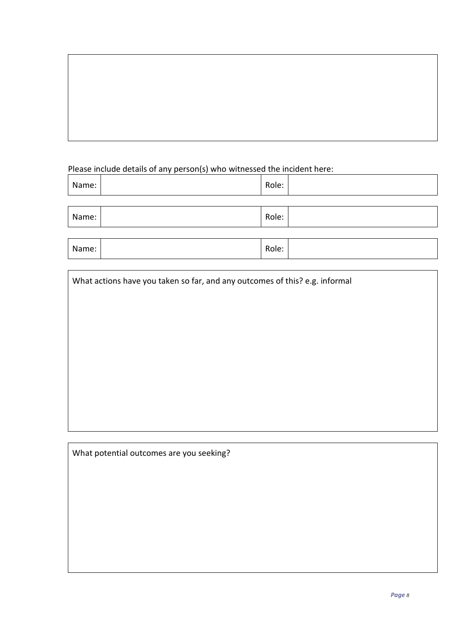## Please include details of any person(s) who witnessed the incident here:

| Name: | Role: |  |
|-------|-------|--|
|       |       |  |

| Name: | -<br>kole: |  |
|-------|------------|--|
|       |            |  |

| Name: | $\sim$<br>⊀ole:<br>к |  |
|-------|----------------------|--|
|       |                      |  |
|       |                      |  |

What actions have you taken so far, and any outcomes of this? e.g. informal

What potential outcomes are you seeking?